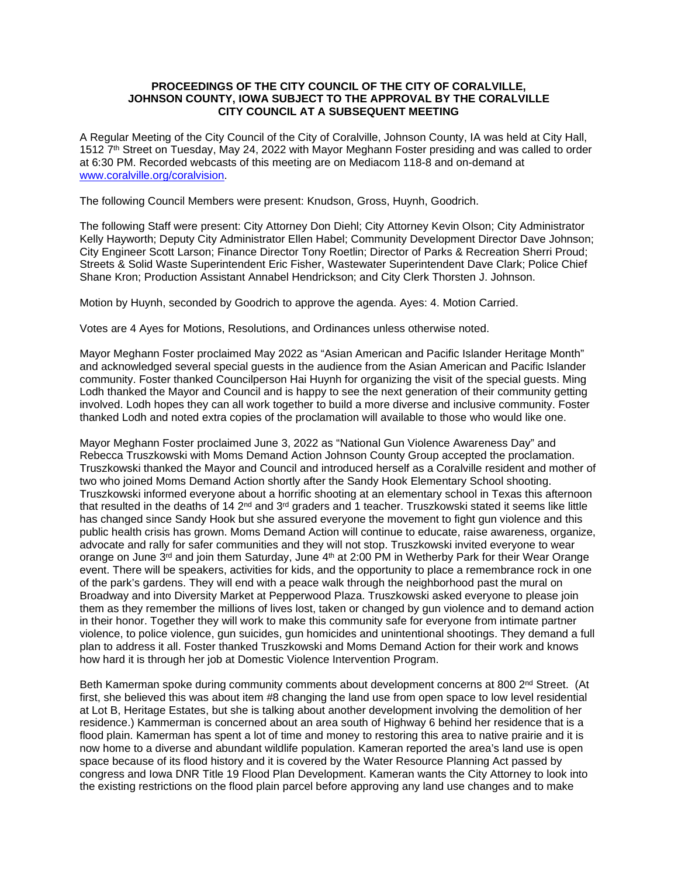### **PROCEEDINGS OF THE CITY COUNCIL OF THE CITY OF CORALVILLE, JOHNSON COUNTY, IOWA SUBJECT TO THE APPROVAL BY THE CORALVILLE CITY COUNCIL AT A SUBSEQUENT MEETING**

A Regular Meeting of the City Council of the City of Coralville, Johnson County, IA was held at City Hall, 1512 7<sup>th</sup> Street on Tuesday, May 24, 2022 with Mayor Meghann Foster presiding and was called to order at 6:30 PM. Recorded webcasts of this meeting are on Mediacom 118-8 and on-demand at [www.coralville.org/coralvision.](http://www.coralville.org/coralvision)

The following Council Members were present: Knudson, Gross, Huynh, Goodrich.

The following Staff were present: City Attorney Don Diehl; City Attorney Kevin Olson; City Administrator Kelly Hayworth; Deputy City Administrator Ellen Habel; Community Development Director Dave Johnson; City Engineer Scott Larson; Finance Director Tony Roetlin; Director of Parks & Recreation Sherri Proud; Streets & Solid Waste Superintendent Eric Fisher, Wastewater Superintendent Dave Clark; Police Chief Shane Kron; Production Assistant Annabel Hendrickson; and City Clerk Thorsten J. Johnson.

Motion by Huynh, seconded by Goodrich to approve the agenda. Ayes: 4. Motion Carried.

Votes are 4 Ayes for Motions, Resolutions, and Ordinances unless otherwise noted.

Mayor Meghann Foster proclaimed May 2022 as "Asian American and Pacific Islander Heritage Month" and acknowledged several special guests in the audience from the Asian American and Pacific Islander community. Foster thanked Councilperson Hai Huynh for organizing the visit of the special guests. Ming Lodh thanked the Mayor and Council and is happy to see the next generation of their community getting involved. Lodh hopes they can all work together to build a more diverse and inclusive community. Foster thanked Lodh and noted extra copies of the proclamation will available to those who would like one.

Mayor Meghann Foster proclaimed June 3, 2022 as "National Gun Violence Awareness Day" and Rebecca Truszkowski with Moms Demand Action Johnson County Group accepted the proclamation. Truszkowski thanked the Mayor and Council and introduced herself as a Coralville resident and mother of two who joined Moms Demand Action shortly after the Sandy Hook Elementary School shooting. Truszkowski informed everyone about a horrific shooting at an elementary school in Texas this afternoon that resulted in the deaths of 14  $2^{nd}$  and  $3^{rd}$  graders and 1 teacher. Truszkowski stated it seems like little has changed since Sandy Hook but she assured everyone the movement to fight gun violence and this public health crisis has grown. Moms Demand Action will continue to educate, raise awareness, organize, advocate and rally for safer communities and they will not stop. Truszkowski invited everyone to wear orange on June  $3<sup>rd</sup>$  and join them Saturday, June  $4<sup>th</sup>$  at 2:00 PM in Wetherby Park for their Wear Orange event. There will be speakers, activities for kids, and the opportunity to place a remembrance rock in one of the park's gardens. They will end with a peace walk through the neighborhood past the mural on Broadway and into Diversity Market at Pepperwood Plaza. Truszkowski asked everyone to please join them as they remember the millions of lives lost, taken or changed by gun violence and to demand action in their honor. Together they will work to make this community safe for everyone from intimate partner violence, to police violence, gun suicides, gun homicides and unintentional shootings. They demand a full plan to address it all. Foster thanked Truszkowski and Moms Demand Action for their work and knows how hard it is through her job at Domestic Violence Intervention Program.

Beth Kamerman spoke during community comments about development concerns at 800 2<sup>nd</sup> Street. (At first, she believed this was about item #8 changing the land use from open space to low level residential at Lot B, Heritage Estates, but she is talking about another development involving the demolition of her residence.) Kammerman is concerned about an area south of Highway 6 behind her residence that is a flood plain. Kamerman has spent a lot of time and money to restoring this area to native prairie and it is now home to a diverse and abundant wildlife population. Kameran reported the area's land use is open space because of its flood history and it is covered by the Water Resource Planning Act passed by congress and Iowa DNR Title 19 Flood Plan Development. Kameran wants the City Attorney to look into the existing restrictions on the flood plain parcel before approving any land use changes and to make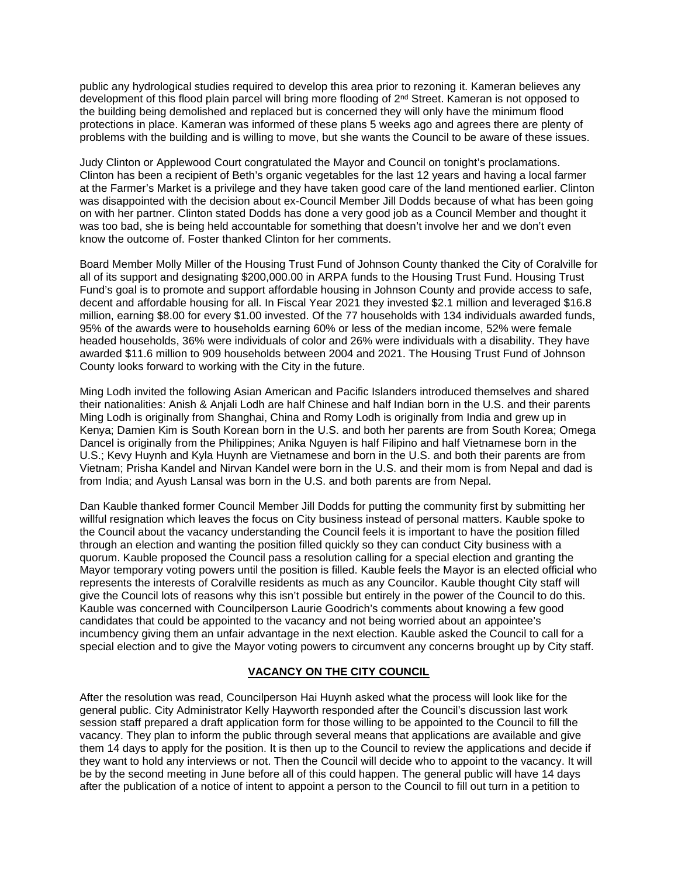public any hydrological studies required to develop this area prior to rezoning it. Kameran believes any development of this flood plain parcel will bring more flooding of 2nd Street. Kameran is not opposed to the building being demolished and replaced but is concerned they will only have the minimum flood protections in place. Kameran was informed of these plans 5 weeks ago and agrees there are plenty of problems with the building and is willing to move, but she wants the Council to be aware of these issues.

Judy Clinton or Applewood Court congratulated the Mayor and Council on tonight's proclamations. Clinton has been a recipient of Beth's organic vegetables for the last 12 years and having a local farmer at the Farmer's Market is a privilege and they have taken good care of the land mentioned earlier. Clinton was disappointed with the decision about ex-Council Member Jill Dodds because of what has been going on with her partner. Clinton stated Dodds has done a very good job as a Council Member and thought it was too bad, she is being held accountable for something that doesn't involve her and we don't even know the outcome of. Foster thanked Clinton for her comments.

Board Member Molly Miller of the Housing Trust Fund of Johnson County thanked the City of Coralville for all of its support and designating \$200,000.00 in ARPA funds to the Housing Trust Fund. Housing Trust Fund's goal is to promote and support affordable housing in Johnson County and provide access to safe, decent and affordable housing for all. In Fiscal Year 2021 they invested \$2.1 million and leveraged \$16.8 million, earning \$8.00 for every \$1.00 invested. Of the 77 households with 134 individuals awarded funds, 95% of the awards were to households earning 60% or less of the median income, 52% were female headed households, 36% were individuals of color and 26% were individuals with a disability. They have awarded \$11.6 million to 909 households between 2004 and 2021. The Housing Trust Fund of Johnson County looks forward to working with the City in the future.

Ming Lodh invited the following Asian American and Pacific Islanders introduced themselves and shared their nationalities: Anish & Anjali Lodh are half Chinese and half Indian born in the U.S. and their parents Ming Lodh is originally from Shanghai, China and Romy Lodh is originally from India and grew up in Kenya; Damien Kim is South Korean born in the U.S. and both her parents are from South Korea; Omega Dancel is originally from the Philippines; Anika Nguyen is half Filipino and half Vietnamese born in the U.S.; Kevy Huynh and Kyla Huynh are Vietnamese and born in the U.S. and both their parents are from Vietnam; Prisha Kandel and Nirvan Kandel were born in the U.S. and their mom is from Nepal and dad is from India; and Ayush Lansal was born in the U.S. and both parents are from Nepal.

Dan Kauble thanked former Council Member Jill Dodds for putting the community first by submitting her willful resignation which leaves the focus on City business instead of personal matters. Kauble spoke to the Council about the vacancy understanding the Council feels it is important to have the position filled through an election and wanting the position filled quickly so they can conduct City business with a quorum. Kauble proposed the Council pass a resolution calling for a special election and granting the Mayor temporary voting powers until the position is filled. Kauble feels the Mayor is an elected official who represents the interests of Coralville residents as much as any Councilor. Kauble thought City staff will give the Council lots of reasons why this isn't possible but entirely in the power of the Council to do this. Kauble was concerned with Councilperson Laurie Goodrich's comments about knowing a few good candidates that could be appointed to the vacancy and not being worried about an appointee's incumbency giving them an unfair advantage in the next election. Kauble asked the Council to call for a special election and to give the Mayor voting powers to circumvent any concerns brought up by City staff.

## **VACANCY ON THE CITY COUNCIL**

After the resolution was read, Councilperson Hai Huynh asked what the process will look like for the general public. City Administrator Kelly Hayworth responded after the Council's discussion last work session staff prepared a draft application form for those willing to be appointed to the Council to fill the vacancy. They plan to inform the public through several means that applications are available and give them 14 days to apply for the position. It is then up to the Council to review the applications and decide if they want to hold any interviews or not. Then the Council will decide who to appoint to the vacancy. It will be by the second meeting in June before all of this could happen. The general public will have 14 days after the publication of a notice of intent to appoint a person to the Council to fill out turn in a petition to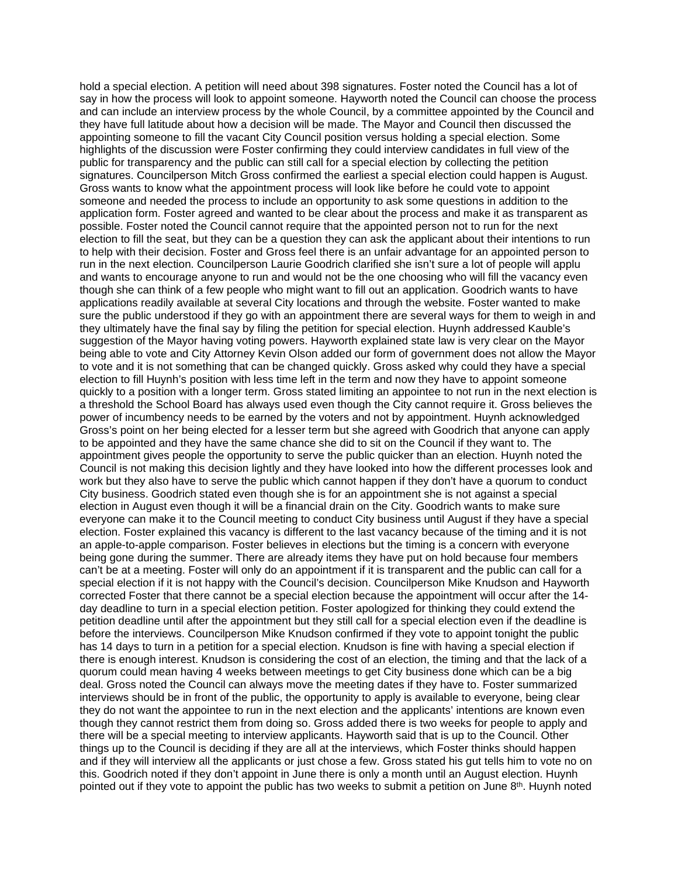hold a special election. A petition will need about 398 signatures. Foster noted the Council has a lot of say in how the process will look to appoint someone. Hayworth noted the Council can choose the process and can include an interview process by the whole Council, by a committee appointed by the Council and they have full latitude about how a decision will be made. The Mayor and Council then discussed the appointing someone to fill the vacant City Council position versus holding a special election. Some highlights of the discussion were Foster confirming they could interview candidates in full view of the public for transparency and the public can still call for a special election by collecting the petition signatures. Councilperson Mitch Gross confirmed the earliest a special election could happen is August. Gross wants to know what the appointment process will look like before he could vote to appoint someone and needed the process to include an opportunity to ask some questions in addition to the application form. Foster agreed and wanted to be clear about the process and make it as transparent as possible. Foster noted the Council cannot require that the appointed person not to run for the next election to fill the seat, but they can be a question they can ask the applicant about their intentions to run to help with their decision. Foster and Gross feel there is an unfair advantage for an appointed person to run in the next election. Councilperson Laurie Goodrich clarified she isn't sure a lot of people will applu and wants to encourage anyone to run and would not be the one choosing who will fill the vacancy even though she can think of a few people who might want to fill out an application. Goodrich wants to have applications readily available at several City locations and through the website. Foster wanted to make sure the public understood if they go with an appointment there are several ways for them to weigh in and they ultimately have the final say by filing the petition for special election. Huynh addressed Kauble's suggestion of the Mayor having voting powers. Hayworth explained state law is very clear on the Mayor being able to vote and City Attorney Kevin Olson added our form of government does not allow the Mayor to vote and it is not something that can be changed quickly. Gross asked why could they have a special election to fill Huynh's position with less time left in the term and now they have to appoint someone quickly to a position with a longer term. Gross stated limiting an appointee to not run in the next election is a threshold the School Board has always used even though the City cannot require it. Gross believes the power of incumbency needs to be earned by the voters and not by appointment. Huynh acknowledged Gross's point on her being elected for a lesser term but she agreed with Goodrich that anyone can apply to be appointed and they have the same chance she did to sit on the Council if they want to. The appointment gives people the opportunity to serve the public quicker than an election. Huynh noted the Council is not making this decision lightly and they have looked into how the different processes look and work but they also have to serve the public which cannot happen if they don't have a quorum to conduct City business. Goodrich stated even though she is for an appointment she is not against a special election in August even though it will be a financial drain on the City. Goodrich wants to make sure everyone can make it to the Council meeting to conduct City business until August if they have a special election. Foster explained this vacancy is different to the last vacancy because of the timing and it is not an apple-to-apple comparison. Foster believes in elections but the timing is a concern with everyone being gone during the summer. There are already items they have put on hold because four members can't be at a meeting. Foster will only do an appointment if it is transparent and the public can call for a special election if it is not happy with the Council's decision. Councilperson Mike Knudson and Hayworth corrected Foster that there cannot be a special election because the appointment will occur after the 14 day deadline to turn in a special election petition. Foster apologized for thinking they could extend the petition deadline until after the appointment but they still call for a special election even if the deadline is before the interviews. Councilperson Mike Knudson confirmed if they vote to appoint tonight the public has 14 days to turn in a petition for a special election. Knudson is fine with having a special election if there is enough interest. Knudson is considering the cost of an election, the timing and that the lack of a quorum could mean having 4 weeks between meetings to get City business done which can be a big deal. Gross noted the Council can always move the meeting dates if they have to. Foster summarized interviews should be in front of the public, the opportunity to apply is available to everyone, being clear they do not want the appointee to run in the next election and the applicants' intentions are known even though they cannot restrict them from doing so. Gross added there is two weeks for people to apply and there will be a special meeting to interview applicants. Hayworth said that is up to the Council. Other things up to the Council is deciding if they are all at the interviews, which Foster thinks should happen and if they will interview all the applicants or just chose a few. Gross stated his gut tells him to vote no on this. Goodrich noted if they don't appoint in June there is only a month until an August election. Huynh pointed out if they vote to appoint the public has two weeks to submit a petition on June 8<sup>th</sup>. Huynh noted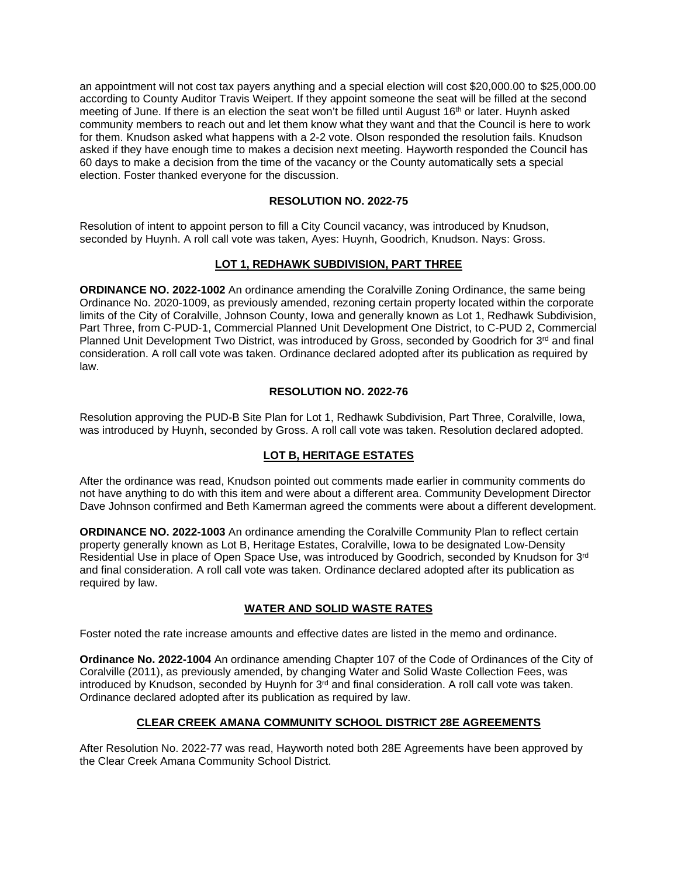an appointment will not cost tax payers anything and a special election will cost \$20,000.00 to \$25,000.00 according to County Auditor Travis Weipert. If they appoint someone the seat will be filled at the second meeting of June. If there is an election the seat won't be filled until August 16th or later. Huynh asked community members to reach out and let them know what they want and that the Council is here to work for them. Knudson asked what happens with a 2-2 vote. Olson responded the resolution fails. Knudson asked if they have enough time to makes a decision next meeting. Hayworth responded the Council has 60 days to make a decision from the time of the vacancy or the County automatically sets a special election. Foster thanked everyone for the discussion.

## **RESOLUTION NO. 2022-75**

Resolution of intent to appoint person to fill a City Council vacancy, was introduced by Knudson, seconded by Huynh. A roll call vote was taken, Ayes: Huynh, Goodrich, Knudson. Nays: Gross.

## **LOT 1, REDHAWK SUBDIVISION, PART THREE**

**ORDINANCE NO. 2022-1002** An ordinance amending the Coralville Zoning Ordinance, the same being Ordinance No. 2020-1009, as previously amended, rezoning certain property located within the corporate limits of the City of Coralville, Johnson County, Iowa and generally known as Lot 1, Redhawk Subdivision, Part Three, from C-PUD-1, Commercial Planned Unit Development One District, to C-PUD 2, Commercial Planned Unit Development Two District, was introduced by Gross, seconded by Goodrich for 3<sup>rd</sup> and final consideration. A roll call vote was taken. Ordinance declared adopted after its publication as required by law.

## **RESOLUTION NO. 2022-76**

Resolution approving the PUD-B Site Plan for Lot 1, Redhawk Subdivision, Part Three, Coralville, Iowa, was introduced by Huynh, seconded by Gross. A roll call vote was taken. Resolution declared adopted.

## **LOT B, HERITAGE ESTATES**

After the ordinance was read, Knudson pointed out comments made earlier in community comments do not have anything to do with this item and were about a different area. Community Development Director Dave Johnson confirmed and Beth Kamerman agreed the comments were about a different development.

**ORDINANCE NO. 2022-1003** An ordinance amending the Coralville Community Plan to reflect certain property generally known as Lot B, Heritage Estates, Coralville, Iowa to be designated Low-Density Residential Use in place of Open Space Use, was introduced by Goodrich, seconded by Knudson for 3rd and final consideration. A roll call vote was taken. Ordinance declared adopted after its publication as required by law.

# **WATER AND SOLID WASTE RATES**

Foster noted the rate increase amounts and effective dates are listed in the memo and ordinance.

**Ordinance No. 2022-1004** An ordinance amending Chapter 107 of the Code of Ordinances of the City of Coralville (2011), as previously amended, by changing Water and Solid Waste Collection Fees, was introduced by Knudson, seconded by Huynh for  $3<sup>rd</sup>$  and final consideration. A roll call vote was taken. Ordinance declared adopted after its publication as required by law.

## **CLEAR CREEK AMANA COMMUNITY SCHOOL DISTRICT 28E AGREEMENTS**

After Resolution No. 2022-77 was read, Hayworth noted both 28E Agreements have been approved by the Clear Creek Amana Community School District.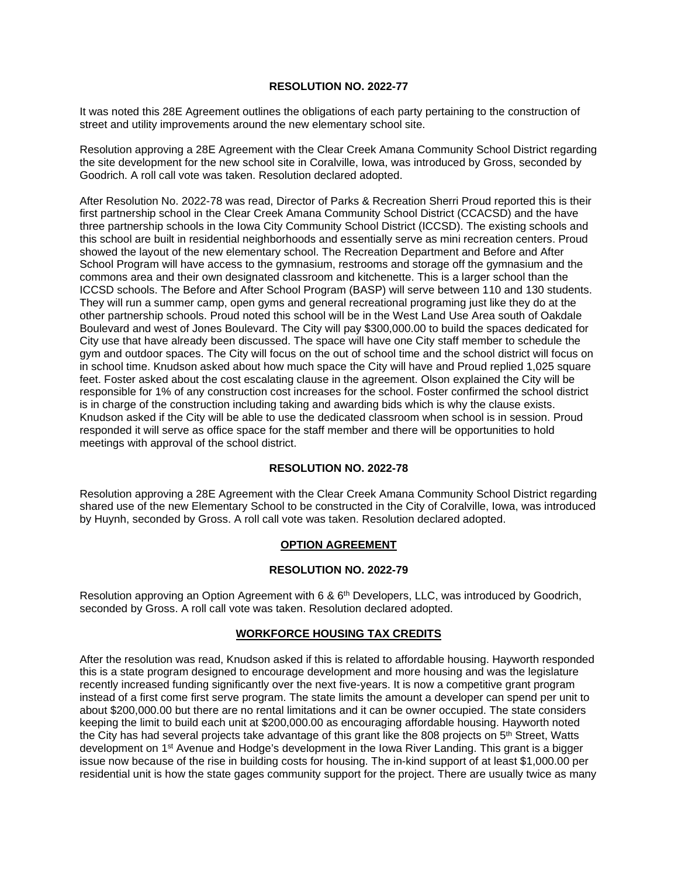#### **RESOLUTION NO. 2022-77**

It was noted this 28E Agreement outlines the obligations of each party pertaining to the construction of street and utility improvements around the new elementary school site.

Resolution approving a 28E Agreement with the Clear Creek Amana Community School District regarding the site development for the new school site in Coralville, Iowa, was introduced by Gross, seconded by Goodrich. A roll call vote was taken. Resolution declared adopted.

After Resolution No. 2022-78 was read, Director of Parks & Recreation Sherri Proud reported this is their first partnership school in the Clear Creek Amana Community School District (CCACSD) and the have three partnership schools in the Iowa City Community School District (ICCSD). The existing schools and this school are built in residential neighborhoods and essentially serve as mini recreation centers. Proud showed the layout of the new elementary school. The Recreation Department and Before and After School Program will have access to the gymnasium, restrooms and storage off the gymnasium and the commons area and their own designated classroom and kitchenette. This is a larger school than the ICCSD schools. The Before and After School Program (BASP) will serve between 110 and 130 students. They will run a summer camp, open gyms and general recreational programing just like they do at the other partnership schools. Proud noted this school will be in the West Land Use Area south of Oakdale Boulevard and west of Jones Boulevard. The City will pay \$300,000.00 to build the spaces dedicated for City use that have already been discussed. The space will have one City staff member to schedule the gym and outdoor spaces. The City will focus on the out of school time and the school district will focus on in school time. Knudson asked about how much space the City will have and Proud replied 1,025 square feet. Foster asked about the cost escalating clause in the agreement. Olson explained the City will be responsible for 1% of any construction cost increases for the school. Foster confirmed the school district is in charge of the construction including taking and awarding bids which is why the clause exists. Knudson asked if the City will be able to use the dedicated classroom when school is in session. Proud responded it will serve as office space for the staff member and there will be opportunities to hold meetings with approval of the school district.

## **RESOLUTION NO. 2022-78**

Resolution approving a 28E Agreement with the Clear Creek Amana Community School District regarding shared use of the new Elementary School to be constructed in the City of Coralville, Iowa, was introduced by Huynh, seconded by Gross. A roll call vote was taken. Resolution declared adopted.

## **OPTION AGREEMENT**

#### **RESOLUTION NO. 2022-79**

Resolution approving an Option Agreement with 6 & 6<sup>th</sup> Developers, LLC, was introduced by Goodrich, seconded by Gross. A roll call vote was taken. Resolution declared adopted.

#### **WORKFORCE HOUSING TAX CREDITS**

After the resolution was read, Knudson asked if this is related to affordable housing. Hayworth responded this is a state program designed to encourage development and more housing and was the legislature recently increased funding significantly over the next five-years. It is now a competitive grant program instead of a first come first serve program. The state limits the amount a developer can spend per unit to about \$200,000.00 but there are no rental limitations and it can be owner occupied. The state considers keeping the limit to build each unit at \$200,000.00 as encouraging affordable housing. Hayworth noted the City has had several projects take advantage of this grant like the 808 projects on 5<sup>th</sup> Street, Watts development on 1st Avenue and Hodge's development in the Iowa River Landing. This grant is a bigger issue now because of the rise in building costs for housing. The in-kind support of at least \$1,000.00 per residential unit is how the state gages community support for the project. There are usually twice as many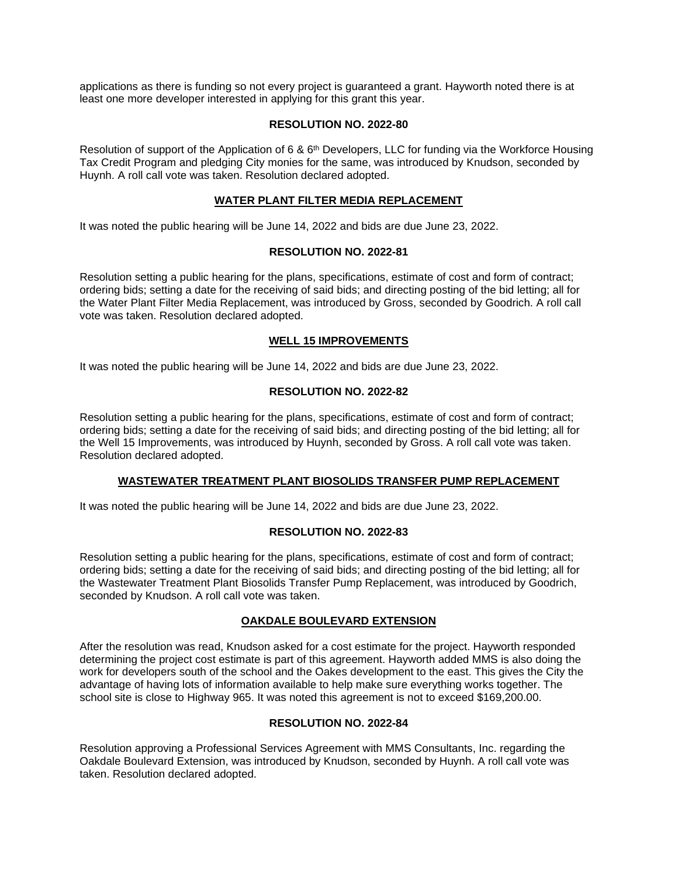applications as there is funding so not every project is guaranteed a grant. Hayworth noted there is at least one more developer interested in applying for this grant this year.

### **RESOLUTION NO. 2022-80**

Resolution of support of the Application of 6 &  $6<sup>th</sup>$  Developers, LLC for funding via the Workforce Housing Tax Credit Program and pledging City monies for the same, was introduced by Knudson, seconded by Huynh. A roll call vote was taken. Resolution declared adopted.

## **WATER PLANT FILTER MEDIA REPLACEMENT**

It was noted the public hearing will be June 14, 2022 and bids are due June 23, 2022.

### **RESOLUTION NO. 2022-81**

Resolution setting a public hearing for the plans, specifications, estimate of cost and form of contract; ordering bids; setting a date for the receiving of said bids; and directing posting of the bid letting; all for the Water Plant Filter Media Replacement, was introduced by Gross, seconded by Goodrich. A roll call vote was taken. Resolution declared adopted.

### **WELL 15 IMPROVEMENTS**

It was noted the public hearing will be June 14, 2022 and bids are due June 23, 2022.

### **RESOLUTION NO. 2022-82**

Resolution setting a public hearing for the plans, specifications, estimate of cost and form of contract; ordering bids; setting a date for the receiving of said bids; and directing posting of the bid letting; all for the Well 15 Improvements, was introduced by Huynh, seconded by Gross. A roll call vote was taken. Resolution declared adopted.

### **WASTEWATER TREATMENT PLANT BIOSOLIDS TRANSFER PUMP REPLACEMENT**

It was noted the public hearing will be June 14, 2022 and bids are due June 23, 2022.

#### **RESOLUTION NO. 2022-83**

Resolution setting a public hearing for the plans, specifications, estimate of cost and form of contract; ordering bids; setting a date for the receiving of said bids; and directing posting of the bid letting; all for the Wastewater Treatment Plant Biosolids Transfer Pump Replacement, was introduced by Goodrich, seconded by Knudson. A roll call vote was taken.

## **OAKDALE BOULEVARD EXTENSION**

After the resolution was read, Knudson asked for a cost estimate for the project. Hayworth responded determining the project cost estimate is part of this agreement. Hayworth added MMS is also doing the work for developers south of the school and the Oakes development to the east. This gives the City the advantage of having lots of information available to help make sure everything works together. The school site is close to Highway 965. It was noted this agreement is not to exceed \$169,200.00.

#### **RESOLUTION NO. 2022-84**

Resolution approving a Professional Services Agreement with MMS Consultants, Inc. regarding the Oakdale Boulevard Extension, was introduced by Knudson, seconded by Huynh. A roll call vote was taken. Resolution declared adopted.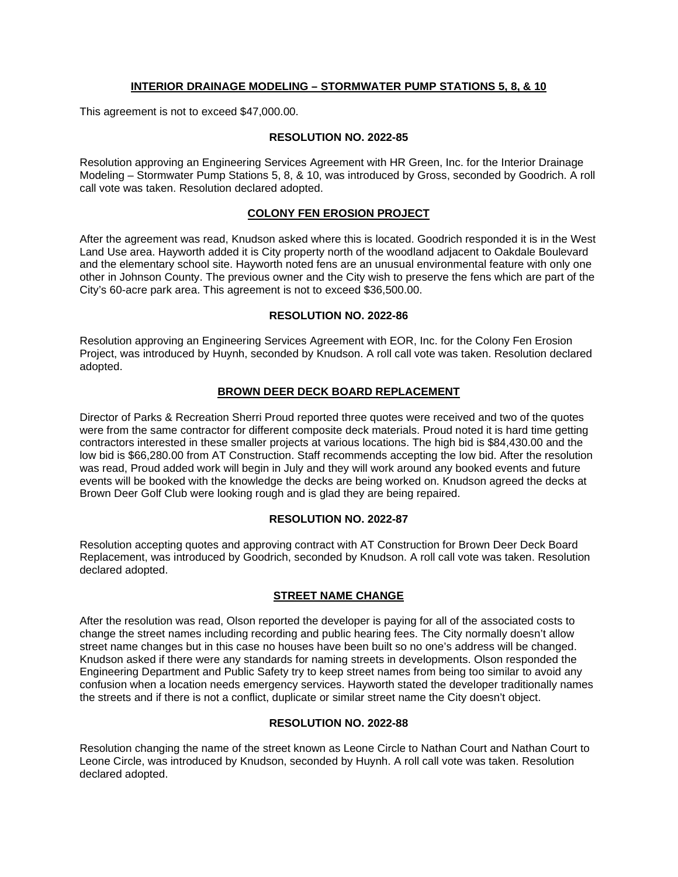## **INTERIOR DRAINAGE MODELING – STORMWATER PUMP STATIONS 5, 8, & 10**

This agreement is not to exceed \$47,000.00.

#### **RESOLUTION NO. 2022-85**

Resolution approving an Engineering Services Agreement with HR Green, Inc. for the Interior Drainage Modeling – Stormwater Pump Stations 5, 8, & 10, was introduced by Gross, seconded by Goodrich. A roll call vote was taken. Resolution declared adopted.

### **COLONY FEN EROSION PROJECT**

After the agreement was read, Knudson asked where this is located. Goodrich responded it is in the West Land Use area. Hayworth added it is City property north of the woodland adjacent to Oakdale Boulevard and the elementary school site. Hayworth noted fens are an unusual environmental feature with only one other in Johnson County. The previous owner and the City wish to preserve the fens which are part of the City's 60-acre park area. This agreement is not to exceed \$36,500.00.

#### **RESOLUTION NO. 2022-86**

Resolution approving an Engineering Services Agreement with EOR, Inc. for the Colony Fen Erosion Project, was introduced by Huynh, seconded by Knudson. A roll call vote was taken. Resolution declared adopted.

### **BROWN DEER DECK BOARD REPLACEMENT**

Director of Parks & Recreation Sherri Proud reported three quotes were received and two of the quotes were from the same contractor for different composite deck materials. Proud noted it is hard time getting contractors interested in these smaller projects at various locations. The high bid is \$84,430.00 and the low bid is \$66,280.00 from AT Construction. Staff recommends accepting the low bid. After the resolution was read, Proud added work will begin in July and they will work around any booked events and future events will be booked with the knowledge the decks are being worked on. Knudson agreed the decks at Brown Deer Golf Club were looking rough and is glad they are being repaired.

#### **RESOLUTION NO. 2022-87**

Resolution accepting quotes and approving contract with AT Construction for Brown Deer Deck Board Replacement, was introduced by Goodrich, seconded by Knudson. A roll call vote was taken. Resolution declared adopted.

#### **STREET NAME CHANGE**

After the resolution was read, Olson reported the developer is paying for all of the associated costs to change the street names including recording and public hearing fees. The City normally doesn't allow street name changes but in this case no houses have been built so no one's address will be changed. Knudson asked if there were any standards for naming streets in developments. Olson responded the Engineering Department and Public Safety try to keep street names from being too similar to avoid any confusion when a location needs emergency services. Hayworth stated the developer traditionally names the streets and if there is not a conflict, duplicate or similar street name the City doesn't object.

#### **RESOLUTION NO. 2022-88**

Resolution changing the name of the street known as Leone Circle to Nathan Court and Nathan Court to Leone Circle, was introduced by Knudson, seconded by Huynh. A roll call vote was taken. Resolution declared adopted.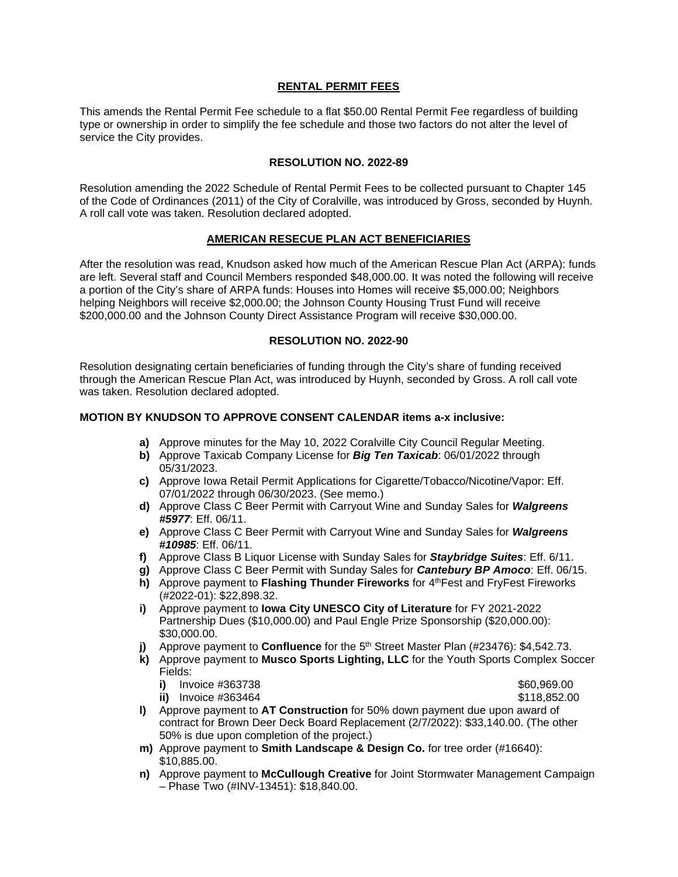## **RENTAL PERMIT FEES**

This amends the Rental Permit Fee schedule to a flat \$50.00 Rental Permit Fee regardless of building type or ownership in order to simplify the fee schedule and those two factors do not alter the level of service the City provides.

### **RESOLUTION NO. 2022-89**

Resolution amending the 2022 Schedule of Rental Permit Fees to be collected pursuant to Chapter 145 of the Code of Ordinances (2011) of the City of Coralville, was introduced by Gross, seconded by Huynh. A roll call vote was taken. Resolution declared adopted.

### **AMERICAN RESECUE PLAN ACT BENEFICIARIES**

After the resolution was read, Knudson asked how much of the American Rescue Plan Act (ARPA): funds are left. Several staff and Council Members responded \$48,000.00. It was noted the following will receive a portion of the City's share of ARPA funds: Houses into Homes will receive \$5,000.00; Neighbors helping Neighbors will receive \$2,000.00; the Johnson County Housing Trust Fund will receive \$200,000.00 and the Johnson County Direct Assistance Program will receive \$30,000.00.

### **RESOLUTION NO. 2022-90**

Resolution designating certain beneficiaries of funding through the City's share of funding received through the American Rescue Plan Act, was introduced by Huynh, seconded by Gross. A roll call vote was taken. Resolution declared adopted.

## **MOTION BY KNUDSON TO APPROVE CONSENT CALENDAR items a-x inclusive:**

- **a)** Approve minutes for the May 10, 2022 Coralville City Council Regular Meeting.
- **b)** Approve Taxicab Company License for *Big Ten Taxicab*: 06/01/2022 through 05/31/2023.
- **c)** Approve Iowa Retail Permit Applications for Cigarette/Tobacco/Nicotine/Vapor: Eff. 07/01/2022 through 06/30/2023. (See memo.)
- **d)** Approve Class C Beer Permit with Carryout Wine and Sunday Sales for *Walgreens #5977*: Eff. 06/11.
- **e)** Approve Class C Beer Permit with Carryout Wine and Sunday Sales for *Walgreens #10985*: Eff. 06/11.
- **f)** Approve Class B Liquor License with Sunday Sales for *Staybridge Suites*: Eff. 6/11.
- **g)** Approve Class C Beer Permit with Sunday Sales for *Cantebury BP Amoco*: Eff. 06/15.
- **h)** Approve payment to Flashing Thunder Fireworks for 4<sup>th</sup>Fest and FryFest Fireworks (#2022-01): \$22,898.32.
- **i)** Approve payment to **Iowa City UNESCO City of Literature** for FY 2021-2022 Partnership Dues (\$10,000.00) and Paul Engle Prize Sponsorship (\$20,000.00): \$30,000.00.
- **j)** Approve payment to **Confluence** for the 5<sup>th</sup> Street Master Plan (#23476): \$4,542.73.
- **k)** Approve payment to **Musco Sports Lighting, LLC** for the Youth Sports Complex Soccer Fields:
	- **i)** Invoice #363738 \$60,969.00<br> **iii** Invoice #363464 \$118.852.00
	- **ii)** Invoice #363464
- 
- **l)** Approve payment to **AT Construction** for 50% down payment due upon award of contract for Brown Deer Deck Board Replacement (2/7/2022): \$33,140.00. (The other 50% is due upon completion of the project.)
- **m)** Approve payment to **Smith Landscape & Design Co.** for tree order (#16640): \$10,885.00.
- **n)** Approve payment to **McCullough Creative** for Joint Stormwater Management Campaign – Phase Two (#INV-13451): \$18,840.00.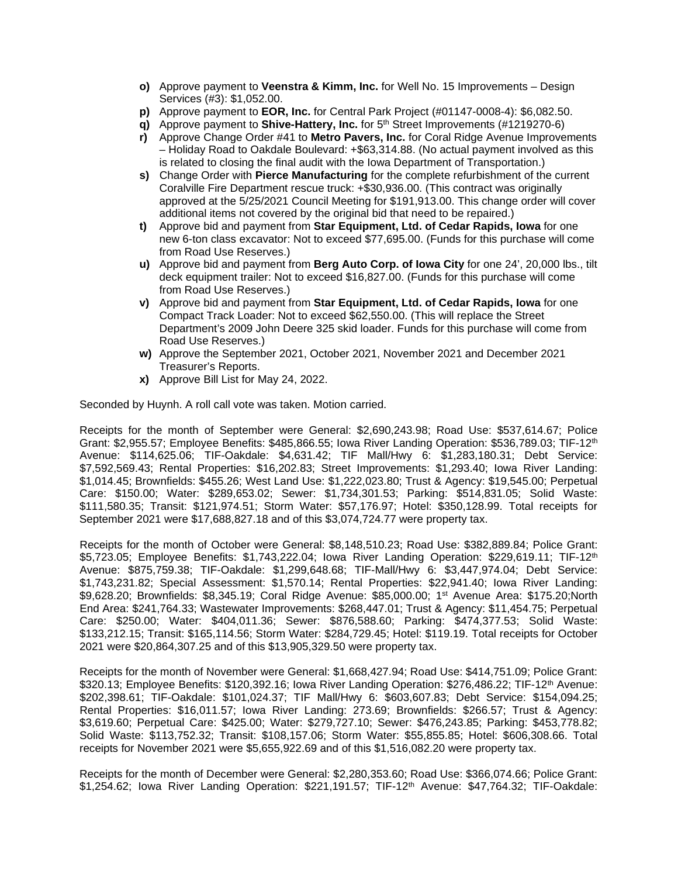- **o)** Approve payment to **Veenstra & Kimm, Inc.** for Well No. 15 Improvements Design Services (#3): \$1,052.00.
- **p)** Approve payment to **EOR, Inc.** for Central Park Project (#01147-0008-4): \$6,082.50.
- **q)** Approve payment to **Shive-Hattery, Inc.** for 5<sup>th</sup> Street Improvements (#1219270-6)
- **r)** Approve Change Order #41 to **Metro Pavers, Inc.** for Coral Ridge Avenue Improvements – Holiday Road to Oakdale Boulevard: +\$63,314.88. (No actual payment involved as this is related to closing the final audit with the Iowa Department of Transportation.)
- **s)** Change Order with **Pierce Manufacturing** for the complete refurbishment of the current Coralville Fire Department rescue truck: +\$30,936.00. (This contract was originally approved at the 5/25/2021 Council Meeting for \$191,913.00. This change order will cover additional items not covered by the original bid that need to be repaired.)
- **t)** Approve bid and payment from **Star Equipment, Ltd. of Cedar Rapids, Iowa** for one new 6-ton class excavator: Not to exceed \$77,695.00. (Funds for this purchase will come from Road Use Reserves.)
- **u)** Approve bid and payment from **Berg Auto Corp. of Iowa City** for one 24', 20,000 lbs., tilt deck equipment trailer: Not to exceed \$16,827.00. (Funds for this purchase will come from Road Use Reserves.)
- **v)** Approve bid and payment from **Star Equipment, Ltd. of Cedar Rapids, Iowa** for one Compact Track Loader: Not to exceed \$62,550.00. (This will replace the Street Department's 2009 John Deere 325 skid loader. Funds for this purchase will come from Road Use Reserves.)
- **w)** Approve the September 2021, October 2021, November 2021 and December 2021 Treasurer's Reports.
- **x)** Approve Bill List for May 24, 2022.

Seconded by Huynh. A roll call vote was taken. Motion carried.

Receipts for the month of September were General: \$2,690,243.98; Road Use: \$537,614.67; Police Grant: \$2,955.57; Employee Benefits: \$485,866.55; Iowa River Landing Operation: \$536,789.03; TIF-12th Avenue: \$114,625.06; TIF-Oakdale: \$4,631.42; TIF Mall/Hwy 6: \$1,283,180.31; Debt Service: \$7,592,569.43; Rental Properties: \$16,202.83; Street Improvements: \$1,293.40; Iowa River Landing: \$1,014.45; Brownfields: \$455.26; West Land Use: \$1,222,023.80; Trust & Agency: \$19,545.00; Perpetual Care: \$150.00; Water: \$289,653.02; Sewer: \$1,734,301.53; Parking: \$514,831.05; Solid Waste: \$111,580.35; Transit: \$121,974.51; Storm Water: \$57,176.97; Hotel: \$350,128.99. Total receipts for September 2021 were \$17,688,827.18 and of this \$3,074,724.77 were property tax.

Receipts for the month of October were General: \$8,148,510.23; Road Use: \$382,889.84; Police Grant: \$5,723.05; Employee Benefits: \$1,743,222.04; Iowa River Landing Operation: \$229,619.11; TIF-12<sup>th</sup> Avenue: \$875,759.38; TIF-Oakdale: \$1,299,648.68; TIF-Mall/Hwy 6: \$3,447,974.04; Debt Service: \$1,743,231.82; Special Assessment: \$1,570.14; Rental Properties: \$22,941.40; Iowa River Landing: \$9,628.20; Brownfields: \$8,345.19; Coral Ridge Avenue: \$85,000.00; 1st Avenue Area: \$175.20;North End Area: \$241,764.33; Wastewater Improvements: \$268,447.01; Trust & Agency: \$11,454.75; Perpetual Care: \$250.00; Water: \$404,011.36; Sewer: \$876,588.60; Parking: \$474,377.53; Solid Waste: \$133,212.15; Transit: \$165,114.56; Storm Water: \$284,729.45; Hotel: \$119.19. Total receipts for October 2021 were \$20,864,307.25 and of this \$13,905,329.50 were property tax.

Receipts for the month of November were General: \$1,668,427.94; Road Use: \$414,751.09; Police Grant: \$320.13; Employee Benefits: \$120,392.16; Iowa River Landing Operation: \$276,486.22; TIF-12<sup>th</sup> Avenue: \$202,398.61; TIF-Oakdale: \$101,024.37; TIF Mall/Hwy 6: \$603,607.83; Debt Service: \$154,094.25; Rental Properties: \$16,011.57; Iowa River Landing: 273.69; Brownfields: \$266.57; Trust & Agency: \$3,619.60; Perpetual Care: \$425.00; Water: \$279,727.10; Sewer: \$476,243.85; Parking: \$453,778.82; Solid Waste: \$113,752.32; Transit: \$108,157.06; Storm Water: \$55,855.85; Hotel: \$606,308.66. Total receipts for November 2021 were \$5,655,922.69 and of this \$1,516,082.20 were property tax.

Receipts for the month of December were General: \$2,280,353.60; Road Use: \$366,074.66; Police Grant: \$1,254.62; Iowa River Landing Operation: \$221,191.57; TIF-12th Avenue: \$47,764.32; TIF-Oakdale: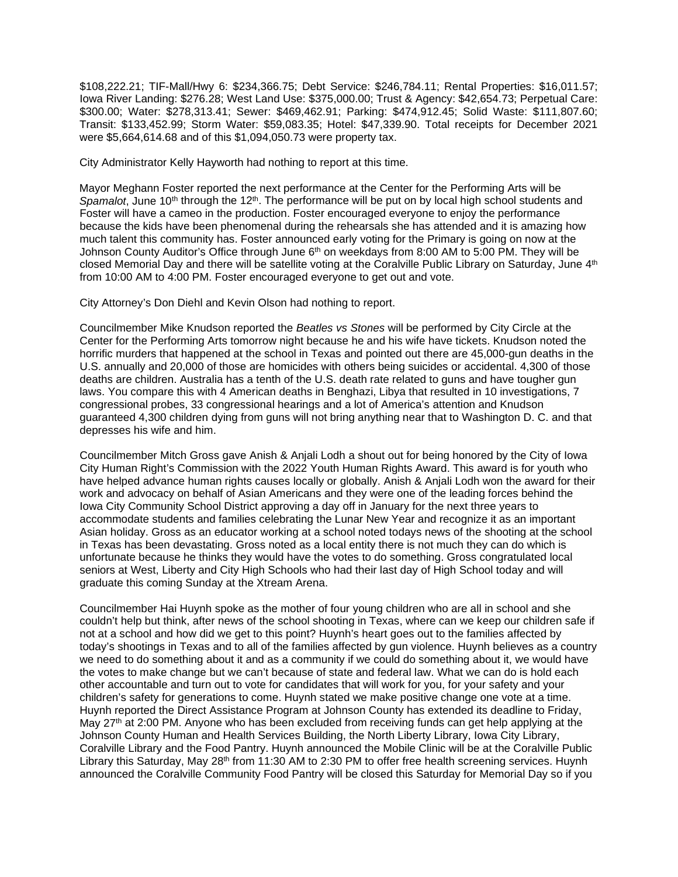\$108,222.21; TIF-Mall/Hwy 6: \$234,366.75; Debt Service: \$246,784.11; Rental Properties: \$16,011.57; Iowa River Landing: \$276.28; West Land Use: \$375,000.00; Trust & Agency: \$42,654.73; Perpetual Care: \$300.00; Water: \$278,313.41; Sewer: \$469,462.91; Parking: \$474,912.45; Solid Waste: \$111,807.60; Transit: \$133,452.99; Storm Water: \$59,083.35; Hotel: \$47,339.90. Total receipts for December 2021 were \$5,664,614.68 and of this \$1,094,050.73 were property tax.

City Administrator Kelly Hayworth had nothing to report at this time.

Mayor Meghann Foster reported the next performance at the Center for the Performing Arts will be Spamalot, June 10<sup>th</sup> through the 12<sup>th</sup>. The performance will be put on by local high school students and Foster will have a cameo in the production. Foster encouraged everyone to enjoy the performance because the kids have been phenomenal during the rehearsals she has attended and it is amazing how much talent this community has. Foster announced early voting for the Primary is going on now at the Johnson County Auditor's Office through June 6<sup>th</sup> on weekdays from 8:00 AM to 5:00 PM. They will be closed Memorial Day and there will be satellite voting at the Coralville Public Library on Saturday, June 4<sup>th</sup> from 10:00 AM to 4:00 PM. Foster encouraged everyone to get out and vote.

City Attorney's Don Diehl and Kevin Olson had nothing to report.

Councilmember Mike Knudson reported the *Beatles vs Stones* will be performed by City Circle at the Center for the Performing Arts tomorrow night because he and his wife have tickets. Knudson noted the horrific murders that happened at the school in Texas and pointed out there are 45,000-gun deaths in the U.S. annually and 20,000 of those are homicides with others being suicides or accidental. 4,300 of those deaths are children. Australia has a tenth of the U.S. death rate related to guns and have tougher gun laws. You compare this with 4 American deaths in Benghazi, Libya that resulted in 10 investigations, 7 congressional probes, 33 congressional hearings and a lot of America's attention and Knudson guaranteed 4,300 children dying from guns will not bring anything near that to Washington D. C. and that depresses his wife and him.

Councilmember Mitch Gross gave Anish & Anjali Lodh a shout out for being honored by the City of Iowa City Human Right's Commission with the 2022 Youth Human Rights Award. This award is for youth who have helped advance human rights causes locally or globally. Anish & Anjali Lodh won the award for their work and advocacy on behalf of Asian Americans and they were one of the leading forces behind the Iowa City Community School District approving a day off in January for the next three years to accommodate students and families celebrating the Lunar New Year and recognize it as an important Asian holiday. Gross as an educator working at a school noted todays news of the shooting at the school in Texas has been devastating. Gross noted as a local entity there is not much they can do which is unfortunate because he thinks they would have the votes to do something. Gross congratulated local seniors at West, Liberty and City High Schools who had their last day of High School today and will graduate this coming Sunday at the Xtream Arena.

Councilmember Hai Huynh spoke as the mother of four young children who are all in school and she couldn't help but think, after news of the school shooting in Texas, where can we keep our children safe if not at a school and how did we get to this point? Huynh's heart goes out to the families affected by today's shootings in Texas and to all of the families affected by gun violence. Huynh believes as a country we need to do something about it and as a community if we could do something about it, we would have the votes to make change but we can't because of state and federal law. What we can do is hold each other accountable and turn out to vote for candidates that will work for you, for your safety and your children's safety for generations to come. Huynh stated we make positive change one vote at a time. Huynh reported the Direct Assistance Program at Johnson County has extended its deadline to Friday, May 27<sup>th</sup> at 2:00 PM. Anyone who has been excluded from receiving funds can get help applying at the Johnson County Human and Health Services Building, the North Liberty Library, Iowa City Library, Coralville Library and the Food Pantry. Huynh announced the Mobile Clinic will be at the Coralville Public Library this Saturday, May 28<sup>th</sup> from 11:30 AM to 2:30 PM to offer free health screening services. Huynh announced the Coralville Community Food Pantry will be closed this Saturday for Memorial Day so if you